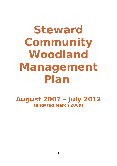# **Steward Community Woodland Management Plan**

**August 2007 – July 2012 (updated March 2009)**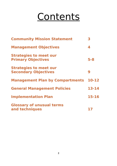# **Contents**

| <b>Community Mission Statement</b>                           | 3         |
|--------------------------------------------------------------|-----------|
| <b>Management Objectives</b>                                 | 4         |
| <b>Strategies to meet our</b><br><b>Primary Objectives</b>   | $5 - 8$   |
| <b>Strategies to meet our</b><br><b>Secondary Objectives</b> | 9         |
| <b>Management Plan by Compartments</b>                       | 10-12     |
| <b>General Management Policies</b>                           | $13 - 14$ |
| <b>Implementation Plan</b>                                   | 15-16     |
| <b>Glossary of unusual terms</b><br>and techniques           |           |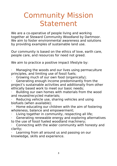# Community Mission Statement

We are a co-operative of people living and working together at Steward Community Woodland by Dartmoor. We aim to foster environmental awareness and solutions by providing examples of sustainable land use.

Our community is based on the ethics of love, earth care, people care, and resources for need not greed.

We aim to practice a positive impact lifestyle by:

Managing the woods and our lives using permaculture principles, and limiting use of fossil fuels;

- · Growing much of our own food (organically);
- Generating enough income predominantly from the project's sustainable activities and additionally from other ethically based work to meet our basic needs;
- Building our own homes with materials from the wood and reused/recycled materials;
- Reducing vehicle use, sharing vehicles and using biofuels (when available);
- Home educating our children with the aim of fostering wholeness, balance and empowerment;
- Living together in community, respecting all life;
- Generating renewable energy and exploring alternatives to the use of fossil fueled woodland machinery;
- Connecting with the wider community with honesty and clarity;
- Learning from all around us and passing on our knowledge, skills and experience.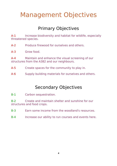### Management Objectives

### Primary Objectives

A-1 Increase biodiversity and habitat for wildlife, especially threatened species.

A-2 Produce firewood for ourselves and others.

A-3 Grow food.

A-4 Maintain and enhance the visual screening of our structures from the A382 and our neighbours.

A-5 Create spaces for the community to play in.

A-6 Supply building materials for ourselves and others.

### Secondary Objectives

B-1 Carbon sequestration.

B-2 Create and maintain shelter and sunshine for our structures and food crops.

- B-3 Earn some income from the woodland's resources.
- B-4 Increase our ability to run courses and events here.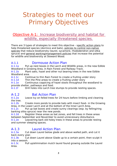### Strategies to meet our Primary Objectives

#### Objective A-1: Increase biodiversity and habitat for wildlife, especially threatened species.

There are 3 types of strategies to meet this objective - specific action plans to help threatened species (dormice and bats), policies to control non-native species that reduce biodiversity (laurel, sycamore, rhododendron and sitka spruce) and general working/management policies that increase the potential for wildlife and biodiversity at Steward Wood.

#### A-1.1 Dormouse Action Plan

A-1.1a Put up nest boxes in the Larch and Wildlife areas, in the new Edible Woodland in Growing Area, in Rain Forest and Railway Track.

A-1.1b Plant oaks, hazel and other nut bearing trees in the new Edible Woodland area.

A-1.1c Continue to thin Rain Forest to create a fruiting under story

A-1.1d Thin the Pine areas to create a fruiting under story

A-1.1e Continuous coppicing of hazel stools throughout the woodland to provide shelter, pathways and food.

A-1.1f Drill holes into Larch tree stumps to provide nesting spaces.

#### A-1.2 Bat Action Plan

A-1.2a Leave Ivy on felled trees for 24 hours before limbing and cleaning the tree.

A-1.2b Create more ponds to provide bats with insect food– in the Growing Area, in the Lower Larch and at the bottom of the Inner Larch Area.

A-1.2c Put up bat boxes and create sunny clearings (esp. by felling/ring barking sitka spruce) near the new ponds.

A-1.2d Register these areas as bat zones, and fell trees in these areas between September and November to avoid unnecessary disturbance.

A-1.2e Leave/ring bark old holey trees in these areas to provide resting and summer sleeping spaces.

#### A-1.3 Laurel Action Plan

A-1.3a Cut down Laurel below glade and above walled path, and cut it back every year.

A-1.3b Cut down Laurel above Glade up to a certain point, then sculpt it into a swoosh.

A-1.3c Pull up/elimination mulch laurel found growing outside the Laurel Area.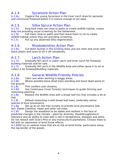### A-1.4 Sycamore Action Plan

A-1.4a Coppice the young Sycamore in the Inner Larch Area for personal and communal firewood before it is mature enough to set seed.

#### A-1.5 Sitka Spruce Action Plan

A-1.5a Ring bark trees not close to paths to create wildlife habitat, unless they are providing visual screening for the Settlement..

A-1.5b Fell trees close to paths and then leave them to rot to create wildlife habitat unless they are providing screening..

A-1.5c Pull up any observed Sitka regeneration.

#### A-1.6 Rhododendron Action Plan

A-1.6a Cut down bushes in the Growing Area, pull out roots and cover with black plastic and tyres to kill it off completely.

#### A-1.7 Larch Action Plan

A-1.7a Gradually fell Larch in Lower Larch and Inner Larch for firewood, building materials and for sale.

A-1.7b Gradually fell Larch in the Wildlife Area and either leave it to rot or collect it for firewood/building materials.

#### A-1.8 General Wildlife-Friendly Policies

A-1.8a Take care when working in boggy areas.

A-1.8b Where possible leave dead trees standing and leave dead wood on the ground.

A-1.8c Thin conifers over streams.

A-1.8d Use Continuous Cover Forestry techniques to guide thinning and restocking planning.

A-1.8e Restock the Wildlife Area with a broad leaf mix that includes a lot of Oak.

A-1.8f Default restocking is with broad leaf trees, preferably native species of local provenance.

A-1.8g Set up an on site tree nursery to provide local provenance Oak, Ash, Sweet Chestnut, Hazel and other nut trees.

A-1.8h Design the woodland to be stable and resilient in the face of predicted changes in the climate – plant for diversity, flood/drought/storm tolerance and an ability to cope with a rise in temperature, diseases and pests. Do not restock with Scot's Pine or any monoculture plantations. Choose trees to fell with an awareness of wind throw effects.

A-1.8iKill ivy on veteran trees that are at risk of wind throw, particularly along the top border of the woods.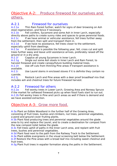#### Objective A-2: Produce firewood for ourselves and others.

#### A-2.1 Firewood for ourselves

A-2.1a Thin Rain Forest further, watch for signs of deer browsing on Ash stool regeneration, and fence if necessary.

A-2.1b Fell conifers, Sycamore and some Ash in Inner Larch, especially directly above paths to create sunny rides and spaces to grow perennial foods. A-2.1c If we have animal or vehicular assistance, fell trees further away from the settlement, then split and transport them in.

A-2.1d If we have no assistance, fell trees closer to the settlement, especially uphill from dwellings.

A-2.1e If assistance is possible the following year, fell, cross cut and split trees further away and leave until assistance arrives, preferably raised off the ground or in a dry area.

A-2.1f Coppice all young Sycamore in Inner Larch.

A-2.1g Single out some Ash stools in Inner Larch and Rain Forest, to harvest firewood and create canopy/future building material trees.

A-2.1h Use off cuts from thinning Pine areas if transport assistance is available.

A-2.1i Use Laurel stems in enclosed stoves if it is definite they contain no cyanide.

A-2.1j Restock Larch and Pine areas with a deer proof broadlleaf mix that includes ash and chestnut trees for future firewood harvest.

#### A-2.2 Firewood for others

A-2.2a Fell wonky trees in Lower Larch, Growing Area and Norway Spruce if the market for softwood firewood picks up when fossil fuels start to run out. A-2.2b Fell wonky trees in Pine and Larch areas as well if there is demand and we have assisted extraction.

#### Objective A-3: Grow more food.

A-3a Plant an Edible Woodland in the further half of the Growing Area, consisting of fruit trees, bushes and climbers, nut trees, perennial vegetables, a pond and ground cover fruiting plants.

A-3b Plant food producing trees and perennial vegetables around the glade area to try and replace the Laurel, and to create a destination for compost from the new compost toilet below the glade.

A-3c Fell trees uphill of paths in the Inner Larch area, and replant with fruit trees, bushes and perennial vegetables.

A-3d Plant food next to the path from the Railway Track to the Settlement.

A-3e Plant edible evergreens in the visual screening belt below the Settlement.

A-3f Restock the Pine areas with a broad leaf mix including sweet chestnut and fruit trees.

A-3g Plant fruit trees in espalier formation along the paths in the Settlement.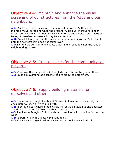#### Objective A-4: Maintain and enhance the visual screening of our structures from the A382 and our neighbours.

A-4a Plant an evergreen visual screening belt below the Settlement, to maintain visual screening when the present ivy clad Larch trees no longer screen our dwellings. The belt will consist of Holly and edible/useful evergreen trees, or broadleaved trees with ivy trained up them.

A-4b Do not fell any trees in the visual screening area below the Settlement until the new screening belt has taken over.

A-4c Fit light blockers onto any lights that shine directly towards the road or neighbouring houses.

#### Objective A-5: Create spaces for the community to play in.

A-5a Clear/use the rocky debris in the glade, and flatten the ground there. A-5b Build a playground adjacent to the fire pit in the Settlement.

#### Objective A-6: Supply building materials for ourselves and others.

A-6a Leave some straight Larch and Fir trees in Inner Larch, especially thin ones, until we need them to build with.

A-6b Identify places where a mobile saw mill could be towed to and operated and do not fell trees for firewood above those places.

A-6c Plant some Douglas Fir in the visual screening belt to provide future pole wood.

A-6d Experiment with chainsaw planking tools.

A-6e Create a wood gasification unit and run a mobile sawmill with it.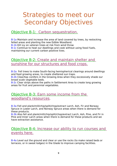### Strategies to meet our Secondary Objectives

#### Objective B-1: Carbon sequestration.

B-1a Maintain and increase the area of land covered by trees, by restocking felled areas and planting the new Edible Woodland.

B-1b Kill ivy on veteran trees at risk from wind throw

B-1c Continue to heat our dwellings and cook without using fossil fuels, maintaining our current carbon positive lives.

#### Objective B-2: Create and maintain shelter and sunshine for our structures and food crops.

B-2a Fell trees to make South-facing hemispherical clearings around dwellings and food growing areas, to create sheltered sun traps.

B-2b Clear/top conifers in the Growing Area when they excessively shade our broad scale vegetable beds.

B-2c Clear strips above the paths in Settlement Area to create long growing areas for fruit and perennial vegetables.

#### Objective B-3: Earn some income from the woodland's resources.

B-3a Fell and plank/mill/chip/split/chop/extract Larch, Ash, Fir and Norway Spruce in Lower Larch, and Norway Spruce areas when there is demand for these products.

B-3b Also fell and plank/mill/chip/split/chop/extract Larch, Ash, Pine, and Fir in Pine and Inner Larch areas when there is demand for these products and we have extraction assistance.

#### Objective B-4: Increase our ability to run courses and events here.

B-4a Level out the ground and clear or use the rocks (to make raised beds or terraces, or in sweat lodges) in the Glade to improve camping facilities.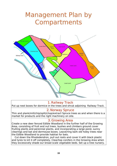### Management Plan by Compartments



#### 1.Railway Track

Put up nest boxes for dormice in the trees and shrub adjoining Railway Track.

#### 2. Norway Spruce

Thin and plank/mill/chip/split/chop/extract Spruce trees as and when there is a market for products and the right machinery on site.

#### 3. Growing Area

Create a new deer fenced Edible Woodland in the further half of the Growing Area, consisting of fruit and nut trees, bushes and climbers ground cover fruiting plants and perennial plants, and incorporating a large pond, sunny clearings and bat and dormouse boxes. Leave/ring bark old holey trees near the Edible Woodland to provide habitat for bats.

 Cut down the Rhododendron, pull out roots and cover it with black plastic and tyres to kill it off completely. Clear/top conifers in the Growing Area when they excessively shade our broad scale vegetable beds. Set up a tree nursery.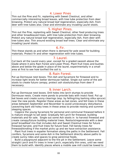#### 4. Lower Pines

Thin out the Pine and Fir, replanting with Sweet Chestnut, and other commercially interesting broad leaves, with tree tube protection from deer browsing. Protect any natural broad leaf regeneration, especially Ash, from deer with tree tubes also. Clear and eliminate any invading Laurel stools.

#### 5. Higher Pines.

Thin out the Pine, replanting with Sweet Chestnut, other food producing trees and other broadleaved trees, with tree tube protection from deer browsing. Protect any natural broad leaf regeneration, especially Ash, from deer with tree tubes also. Thin around existing broad leaf trees. Clear and eliminate any invading Laurel stools.

#### 6. Fir.

Thin these stands as and when there is demand for pole wood for building materials. Protect fir and other regeneration with tree tubes.

#### 7. Laurel.

Cut back all the Laurel every year, except for a graded swoosh above the Glade where it joins Rain Forest and Lower Pines. Plant fruit trees and bushes above and below the glade in place of the laurel, experimentally in a small area at first to see how toxified the soil is.

#### 8.Rain Forest.

Put up Dormouse nest boxes. Thin Ash and Sycamore for firewood and to increase light levels for better dormouse habitat. Single out some of the ash stools to create future canopy, protect ash stools/stumps from deer if necessary.

#### 9. Inner Larch.

Put up Dormouse nest boxes. Drill holes into larch stumps to provide Dormouse nests. Create more ponds to provide bats with insect food. Put up bat boxes and create sunny clearings (esp. by felling/ring barking sitka spruce) near the new ponds. Register these areas as bat zones, and fell trees in these areas between September and November to avoid unnecessary disturbance. Leave/ring bark old holey trees in these areas to provide resting and summer sleeping spaces.

 Coppice the young Sycamore for personal and communal firewood before it is mature enough to set seed. Gradually fell Larch for firewood, building materials and for sale. Single out some Ash stools in to harvest firewood and create canopy/future building material trees. Restock/regenerate with a deer proof broadlleaf mix that includes Ash and Sweet Chestnut trees for future firewood harvest, and fruit trees for future food. Fell bendy trees for firewood/kindling if the market picks up and we have extraction assistance.

 Plant fruit trees in espalier formation along the paths in the Settlement. Fell conifers, Sycamore and some Ash in the Settlement directly above paths to create sunny rides and spaces to grow perennial foods.

 Build a playground adjacent to the fire pit in the Settlement. Leave some straight Larch and Fir trees in Inner Larch, especially thin ones, until we need them to build with. Identify places where a mobile saw mill could be towed to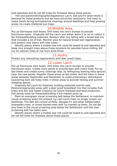and operated and do not fell trees for firewood above those places.

 Fell and plank/mill/chip/split/chop/extract Larch, Ash and Fir when there is demand for these products and we have extraction assistance. Fell trees to make South-facing hemispherical clearings around dwellings and food growing areas, to create sheltered sun traps.

#### 10.Wildlife Area.

Put up Dormouse nest boxes. Drill holes into larch stumps to provide Dormouse nests. Gradually fell the Larch and either leave it to rot or collect it for firewood/building materials. Restock after any felling with a broad leaf mix that includes a lot of Oak. Monitor area for natural broad leaf regeneration, and protect new stems with tree tubes.

 Identify places where a mobile saw mill could be towed to and operated and keep nice straight trees above these locations for possible future milling. Kill ivy on veteran trees at risk from wind throw

#### 11.Hydro.

Protect any interesting regeneration with deer proof tubes.

#### 12.Lower Larch.

Put up Dormouse nest boxes. Drill holes into Larch stumps to provide Dormouse nests. Create more ponds to provide bats with insect food. Put up bat boxes and create sunny clearings (esp. by felling/ring barking sitka spruce) near the new ponds. Register these areas as bat zones, and fell trees in these areas between September and November to avoid unnecessary disturbance. Leave/ring bark old holey trees in these areas to provide resting and summer sleeping spaces.

 Gradually fell Larch for firewood, building materials and for sale. Restock/regenerate areas with a deer proof broadlleaf mix that includes fruit trees and Ash and Sweet Chestnut for future firewood and food production. Fell bendy trees for firewood/kindling if the market picks up.

 Plant an evergreen visual screening belt below the Settlement, to maintain visual screening when the present ivy clad Larch trees no longer screen our dwellings. The belt will consist of Holly, Douglas Fir and other edible/useful evergreen trees, or broad leaved trees with ivy trained up them. Do not fell any trees in the visual screening area below the Settlement until the new screening belt has taken over.

 Identify places where a mobile saw mill could be towed to and operated and do not fell trees for firewood above those places.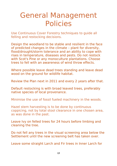## General Management Policies

Use Continuous Cover Forestry techniques to guide all felling and restocking decisions.

Design the woodland to be stable and resilient in the face of predicted changes in the climate – plant for diversity, flood/drought/storm tolerance and an ability to cope with rises in temperature, diseases and pests. Do not restock with Scot's Pine or any monoculture plantations. Choose trees to fell with an awareness of wind throw effects.

Where possible leave dead trees standing and leave dead wood on the ground for wildlife habitat.

Review the Plan next in 2011 and every 2 years after that.

Default restocking is with broad leaved trees, preferably native species of local provenance.

Minimise the use of fossil fueled machinery in the woods.

Hazel stem harvesting is to be done by continuous coppicing, not by total stool clearance in one chosen area, as was done in the past.

Leave Ivy on felled trees for 24 hours before limbing and cleaning the tree.

Do not fell any trees in the visual screening area below the Settlement until the new screening belt has taken over.

Leave some straight Larch and Fir trees in Inner Larch for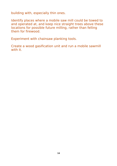building with, especially thin ones.

Identify places where a mobile saw mill could be towed to and operated at, and keep nice straight trees above these locations for possible future milling, rather than felling them for firewood.

Experiment with chainsaw planking tools.

Create a wood gasification unit and run a mobile sawmill with it.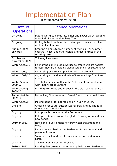### Implementation Plan

(Last updated March 2009)

| Date of                      | <b>Planned operations</b>                                                                                                               |
|------------------------------|-----------------------------------------------------------------------------------------------------------------------------------------|
| <b>Operations</b>            |                                                                                                                                         |
| On going                     | Putting Dormice boxes into Inner and Lower Larch, Wildlife<br>Area, Rain Forest and Railway Track.                                      |
| On going                     | Drilling holes into felled Larch stumps to create dormice<br>nests in Larch areas.                                                      |
| Autumn 2009<br>onwards       | Creating an on site tree nursery of fruit, oak, ash, sweet<br>chestnut, hazel and other edible and useful trees in the<br>Growing Area. |
| October and<br>November 2009 | Thinning Pine areas.                                                                                                                    |
| Winter 2009/10               | Felling/ring barking Sitka Spruce to create wildlife habitat<br>(unless they are providing visual screening for Settlement).            |
| Winter 2009/10               | Organising on site Pine planking with mobile mill.                                                                                      |
| Winter 2009/10               | Organising extraction and sale of Pine saw logs from Pine<br>areas.                                                                     |
| Winter/Spring<br>2009/10     | Tree felling above paths in the Settlement and replanting<br>with linear Forest Gardens.                                                |
| Winter/Spring<br>2009/10     | Planting fruit trees and bushes in the cleared Laurel area.                                                                             |
| Autumn/Winter<br>2009/10     | Restocking Pine areas with Sweet Chestnut and fruit trees.                                                                              |
| <b>Winter 2008/9</b>         | Making pond(s) for bat food chain in Lower Larch.                                                                                       |
| Ongoing                      | Checking for Laurel outside Laurel area, and pulling it up<br>or elimination mulching it.                                               |
| Ongoing                      | Put up owl boxes around the Settlement.                                                                                                 |
| Ongoing                      | Put up bat boxes around the glade, Growing Area and any<br>new ponds.                                                                   |
| 2010 or 2011                 | New pond in Settlement (for grey water treatment and<br>bats).                                                                          |
| Ongoing                      | Fell above and beside the Settlement for communal and<br>personal firewood.                                                             |
| Ongoing                      | Sycamore, ash and hazel coppicing for firewood in Inner<br>Larch.                                                                       |
| Ongoing                      | Thinning Rain Forest for firewood.                                                                                                      |
| 2010 or 2011                 | Planting Evergreen visual screening belt below Settlement.                                                                              |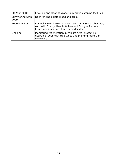| 2009 or 2010          | Leveling and clearing glade to improve camping facilities.                                                                                                   |
|-----------------------|--------------------------------------------------------------------------------------------------------------------------------------------------------------|
| Summer/Autumn<br>2009 | Deer fencing Edible Woodland area.                                                                                                                           |
| 2009 onwards          | Restock cleared area in Lower Larch with Sweet Chestnut,<br>Ash, Wild Cherry, Beech, Willow and Douglas Fir once<br>future pond locations have been decided. |
| Ongoing               | Monitoring regeneration in Wildlife Area, protecting<br>desirable regen with tree tubes and planting more Oak if<br>necessary.                               |